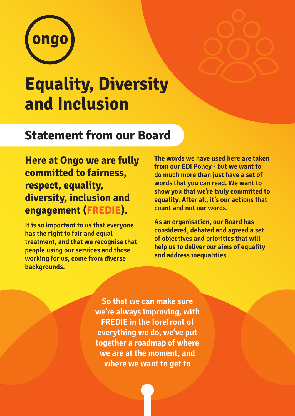

# **Equality, Diversity and Inclusion**

#### **Statement from our Board**

#### **Here at Ongo we are fully committed to fairness, respect, equality, diversity, inclusion and engagement (FREDIE).**

**It is so important to us that everyone has the right to fair and equal treatment, and that we recognise that people using our services and those working for us, come from diverse backgrounds.** 

**The words we have used here are taken from our EDI Policy - but we want to do much more than just have a set of words that you can read. We want to show you that we're truly committed to equality. After all, it's our actions that count and not our words.**

**As an organisation, our Board has considered, debated and agreed a set of objectives and priorities that will help us to deliver our aims of equality and address inequalities.**

**So that we can make sure we're always improving, with FREDIE in the forefront of everything we do, we've put together a roadmap of where we are at the moment, and where we want to get to**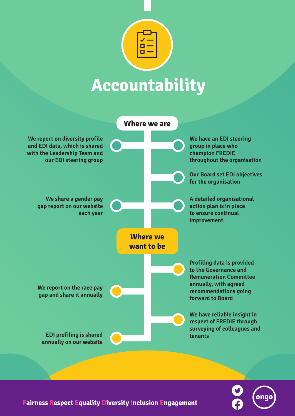

## **Accountability**



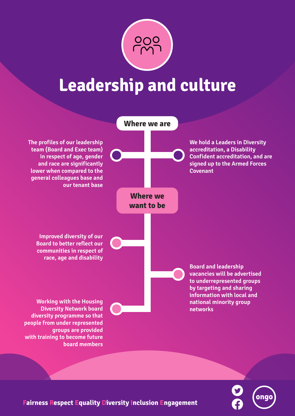

### **Leadership and culture**



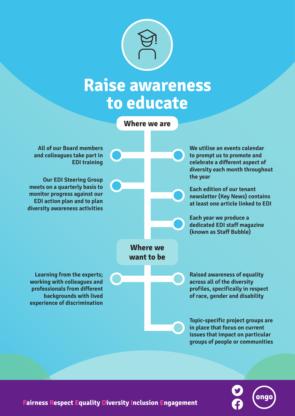

#### **Raise awareness to educate**



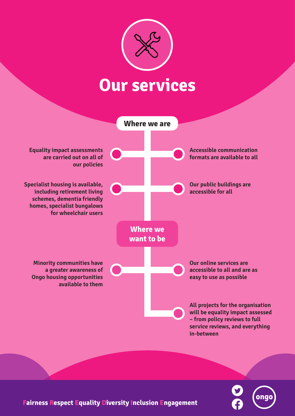

#### **Our services**





nna